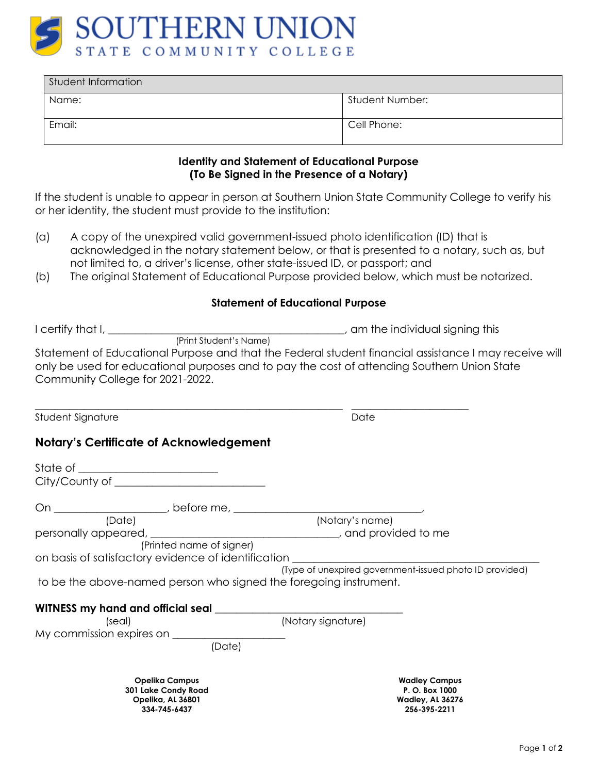

| Student Information |                 |  |
|---------------------|-----------------|--|
| Name:               | Student Number: |  |
| Email:              | Cell Phone:     |  |

#### **Identity and Statement of Educational Purpose (To Be Signed in the Presence of a Notary)**

If the student is unable to appear in person at Southern Union State Community College to verify his or her identity, the student must provide to the institution:

- (a) A copy of the unexpired valid government-issued photo identification (ID) that is acknowledged in the notary statement below, or that is presented to a notary, such as, but not limited to, a driver's license, other state-issued ID, or passport; and
- (b) The original Statement of Educational Purpose provided below, which must be notarized.

#### **Statement of Educational Purpose**

| I certify that I, $\_\_$         | am the individual signing this                                                                                                                                                                       |
|----------------------------------|------------------------------------------------------------------------------------------------------------------------------------------------------------------------------------------------------|
| (Print Student's Name)           |                                                                                                                                                                                                      |
| Community College for 2021-2022. | Statement of Educational Purpose and that the Federal student financial assistance I may receive will<br>only be used for educational purposes and to pay the cost of attending Southern Union State |
| Student Signature                | Date                                                                                                                                                                                                 |

### **Notary's Certificate of Acknowledgement**

| (Date)                                                            |                          | (Notary's name)    |                                                         |
|-------------------------------------------------------------------|--------------------------|--------------------|---------------------------------------------------------|
| personally appeared, example and provided to me                   |                          |                    |                                                         |
|                                                                   | (Printed name of signer) |                    |                                                         |
| on basis of satisfactory evidence of identification               |                          |                    |                                                         |
|                                                                   |                          |                    | (Type of unexpired government-issued photo ID provided) |
| to be the above-named person who signed the foregoing instrument. |                          |                    |                                                         |
| WITNESS my hand and official seal                                 |                          |                    |                                                         |
| (seal)                                                            |                          | (Notary signature) |                                                         |
| My commission expires on                                          |                          |                    |                                                         |
|                                                                   | (Date)                   |                    |                                                         |
|                                                                   |                          |                    |                                                         |
| <b>Opelika Campus</b>                                             |                          |                    | <b>Wadley Campus</b>                                    |
| 301 Lake Condy Road<br>Opelika, AL 36801                          |                          |                    | P. O. Box 1000<br><b>Wadley, AL 36276</b>               |
| 334-745-6437                                                      |                          |                    | 256-395-2211                                            |